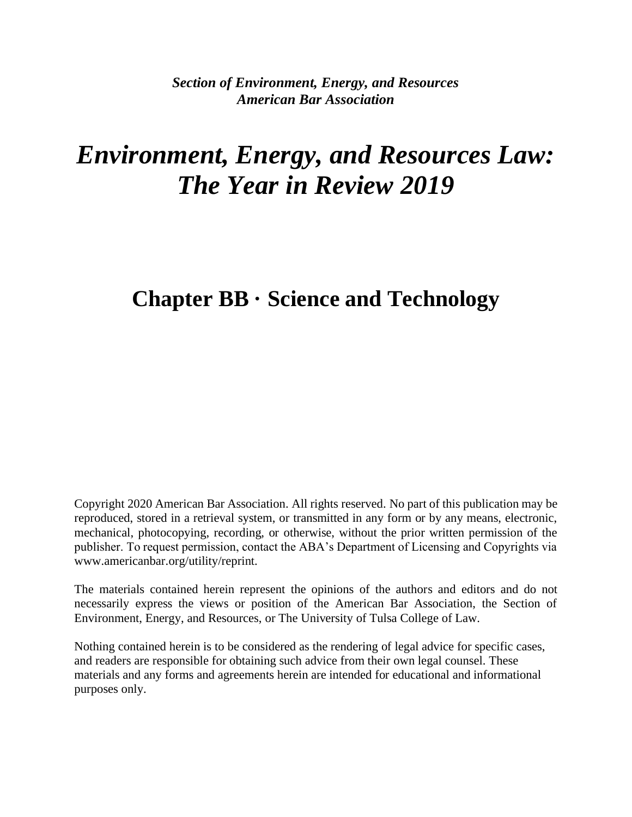*Section of Environment, Energy, and Resources American Bar Association*

# *Environment, Energy, and Resources Law: The Year in Review 2019*

# **Chapter BB · Science and Technology**

Copyright 2020 American Bar Association. All rights reserved. No part of this publication may be reproduced, stored in a retrieval system, or transmitted in any form or by any means, electronic, mechanical, photocopying, recording, or otherwise, without the prior written permission of the publisher. To request permission, contact the ABA's Department of Licensing and Copyrights via www.americanbar.org/utility/reprint.

The materials contained herein represent the opinions of the authors and editors and do not necessarily express the views or position of the American Bar Association, the Section of Environment, Energy, and Resources, or The University of Tulsa College of Law.

Nothing contained herein is to be considered as the rendering of legal advice for specific cases, and readers are responsible for obtaining such advice from their own legal counsel. These materials and any forms and agreements herein are intended for educational and informational purposes only.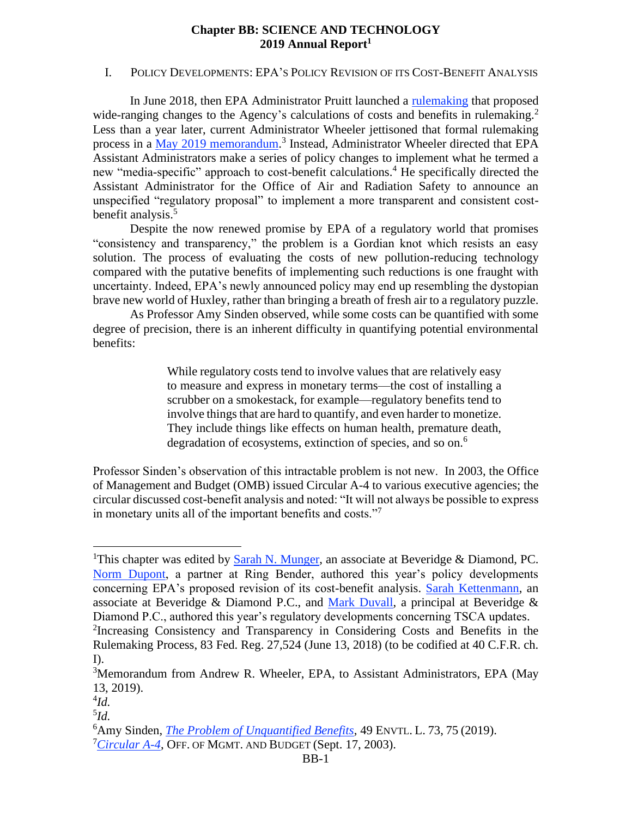#### **Chapter BB: SCIENCE AND TECHNOLOGY 2019 Annual Report<sup>1</sup>**

#### I. POLICY DEVELOPMENTS: EPA'S POLICY REVISION OF ITS COST-BENEFIT ANALYSIS

In June 2018, then EPA Administrator Pruitt launched a [rulemaking](https://www.govinfo.gov/content/pkg/FR-2018-06-13/pdf/2018-12707.pdf) that proposed wide-ranging changes to the Agency's calculations of costs and benefits in rulemaking.<sup>2</sup> Less than a year later, current Administrator Wheeler jettisoned that formal rulemaking process in a [May 2019 memorandum.](https://www.epa.gov/sites/production/files/2019-05/documents/memorandum_05_13_2019_increasing_consistency_and_transparency_in_considering_benefits_and_costs_in_rulemaking_process.pdf)<sup>3</sup> Instead, Administrator Wheeler directed that EPA Assistant Administrators make a series of policy changes to implement what he termed a new "media-specific" approach to cost-benefit calculations.<sup>4</sup> He specifically directed the Assistant Administrator for the Office of Air and Radiation Safety to announce an unspecified "regulatory proposal" to implement a more transparent and consistent costbenefit analysis.<sup>5</sup>

Despite the now renewed promise by EPA of a regulatory world that promises "consistency and transparency," the problem is a Gordian knot which resists an easy solution. The process of evaluating the costs of new pollution-reducing technology compared with the putative benefits of implementing such reductions is one fraught with uncertainty. Indeed, EPA's newly announced policy may end up resembling the dystopian brave new world of Huxley, rather than bringing a breath of fresh air to a regulatory puzzle.

As Professor Amy Sinden observed, while some costs can be quantified with some degree of precision, there is [an inherent difficulty in quantifying potential environmental](https://law.lclark.edu/live/files/27944-49-1sinden-1pdf)  [benefits:](https://law.lclark.edu/live/files/27944-49-1sinden-1pdf)

> While regulatory costs tend to involve values that are relatively easy to measure and express in monetary terms—the cost of installing a scrubber on a smokestack, for example—regulatory benefits tend to involve things that are hard to quantify, and even harder to monetize. They include things like effects on human health, premature death, degradation of ecosystems, extinction of species, and so on.<sup>6</sup>

Professor Sinden's observation of this intractable problem is not new. In 2003, the Office of Management and Budget (OMB) issued Circular A-4 to various executive agencies; the circular discussed cost-benefit analysis and noted: "It will not always be possible to express in monetary units all of the important benefits and costs."<sup>7</sup>

<sup>&</sup>lt;sup>1</sup>This chapter was edited by [Sarah N. Munger,](https://www.bdlaw.com/sarah-n-munger/) an associate at Beveridge & Diamond, PC. [Norm Dupont,](https://ringbenderlaw.com/our-attorneys/norman-a-dupont/) a partner at Ring Bender, authored this year's policy developments concerning EPA's proposed revision of its cost-benefit analysis. [Sarah Kettenmann,](https://www.bdlaw.com/sarah-a-kettenmann/) an associate at Beveridge & Diamond P.C., and [Mark Duvall,](https://www.bdlaw.com/mark-n-duvall/) a principal at Beveridge & Diamond P.C., authored this year's regulatory developments concerning TSCA updates. 2 Increasing Consistency and Transparency in Considering Costs and Benefits in the

Rulemaking Process, 83 Fed. Reg. 27,524 (June 13, 2018) (to be codified at 40 C.F.R. ch. I).

<sup>&</sup>lt;sup>3</sup>Memorandum from Andrew R. Wheeler, EPA, to Assistant Administrators, EPA (May 13, 2019).

<sup>4</sup> *Id.*

<sup>5</sup> *Id.*

<sup>6</sup>Amy Sinden, *[The Problem of Unquantified Benefits](https://law.lclark.edu/live/files/27944-49-1sinden-1pdf)*, 49 ENVTL. L. 73, 75 (2019).

<sup>&</sup>lt;sup>7</sup>[Circular A-4](https://obamawhitehouse.archives.gov/omb/circulars_a004_a-4/), OFF. OF MGMT. AND BUDGET (Sept. 17, 2003).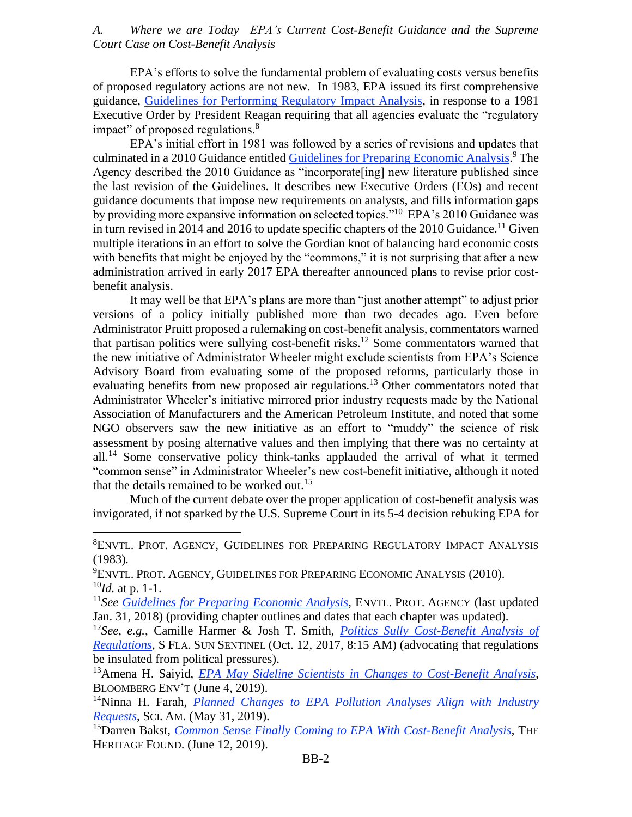#### *A. Where we are Today—EPA's Current Cost-Benefit Guidance and the Supreme Court Case on Cost-Benefit Analysis*

EPA's efforts to solve the fundamental problem of evaluating costs versus benefits of proposed regulatory actions are not new. In 1983, EPA issued its first comprehensive guidance, [Guidelines for Performing Regulatory Impact Analysis,](https://www.epa.gov/sites/production/files/2017-09/documents/ee-0228a-1.pdf) in response to a 1981 Executive Order by President Reagan requiring that all agencies evaluate the "regulatory impact" of proposed regulations.<sup>8</sup>

EPA's initial effort in 1981 was followed by a series of revisions and updates that culminated in a 2010 Guidance entitled [Guidelines for Preparing Economic Analysis.](https://www.epa.gov/environmental-economics/guidelines-preparing-economic-analyses#download)<sup>9</sup> The Agency described the 2010 Guidance as "incorporate[ing] new literature published since the last revision of the Guidelines. It describes new Executive Orders (EOs) and recent guidance documents that impose new requirements on analysts, and fills information gaps by providing more expansive information on selected topics."<sup>10</sup> EPA's 2010 Guidance was in turn revised in 2014 and 2016 to update specific chapters of the 2010 Guidance.<sup>11</sup> Given multiple iterations in an effort to solve the Gordian knot of balancing hard economic costs with benefits that might be enjoyed by the "commons," it is not surprising that after a new administration arrived in early 2017 EPA thereafter announced plans to revise prior costbenefit analysis.

It may well be that EPA's plans are more than "just another attempt" to adjust prior versions of a policy initially published more than two decades ago. Even before Administrator Pruitt proposed a rulemaking on cost-benefit analysis, commentators warned that partisan politics were sullying cost-benefit risks.<sup>12</sup> Some commentators warned that the new initiative of Administrator Wheeler might exclude scientists from EPA's Science Advisory Board from evaluating some of the proposed reforms, particularly those in evaluating benefits from new proposed air regulations.<sup>13</sup> Other commentators noted that Administrator Wheeler's initiative mirrored prior industry requests made by the National Association of Manufacturers and the American Petroleum Institute, and noted that some NGO observers saw the new initiative as an effort to "muddy" the science of risk assessment by posing alternative values and then implying that there was no certainty at  $all.<sup>14</sup>$  Some conservative policy think-tanks applauded the arrival of what it termed "common sense" in Administrator Wheeler's new cost-benefit initiative, although it noted that the details remained to be worked out.<sup>15</sup>

Much of the current debate over the proper application of cost-benefit analysis was invigorated, if not sparked by the U.S. Supreme Court in its 5-4 decision rebuking EPA for

<sup>8</sup>ENVTL. PROT. AGENCY, GUIDELINES FOR PREPARING REGULATORY IMPACT ANALYSIS (1983)*.*

<sup>9</sup>ENVTL. PROT. AGENCY, GUIDELINES FOR PREPARING ECONOMIC ANALYSIS (2010). <sup>10</sup>*Id.* at p. 1-1.

<sup>11</sup>*See [Guidelines for Preparing Economic Analysis](https://www.epa.gov/environmental-economics/guidelines-preparing-economic-analyses)*, ENVTL. PROT. AGENCY (last updated Jan. 31, 2018) (providing chapter outlines and dates that each chapter was updated).

<sup>12</sup>*See, e.g.*, Camille Harmer & Josh T. Smith, *[Politics Sully Cost-Benefit Analysis of](https://www.sun-sentinel.com/opinion/fl-op-epa-regulations-analysis-20171012-story.html)  [Regulations](https://www.sun-sentinel.com/opinion/fl-op-epa-regulations-analysis-20171012-story.html)*, S FLA. SUN SENTINEL (Oct. 12, 2017, 8:15 AM) (advocating that regulations be insulated from political pressures).

<sup>13</sup>Amena H. Saiyid, *[EPA May Sideline Scientists in Changes to Cost-Benefit Analysis](https://news.bloombergenvironment.com/environment-and-energy/epa-may-sideline-scientists-in-changes-to-cost-benefit-analysis)*, BLOOMBERG ENV'T (June 4, 2019).

<sup>14</sup>Ninna H. Farah, *[Planned Changes to EPA Pollution Analyses Align with Industry](https://www.scientificamerican.com/article/planned-changes-to-epa-pollution-analyses-align-with-industry-requests/)  [Requests](https://www.scientificamerican.com/article/planned-changes-to-epa-pollution-analyses-align-with-industry-requests/)*, SCI. AM. (May 31, 2019).

<sup>15</sup>Darren Bakst, *[Common Sense Finally Coming to EPA With Cost-Benefit Analysis](https://www.heritage.org/environment/commentary/common-sense-finally-coming-epa-cost-benefit-analysis)*, THE HERITAGE FOUND. (June 12, 2019).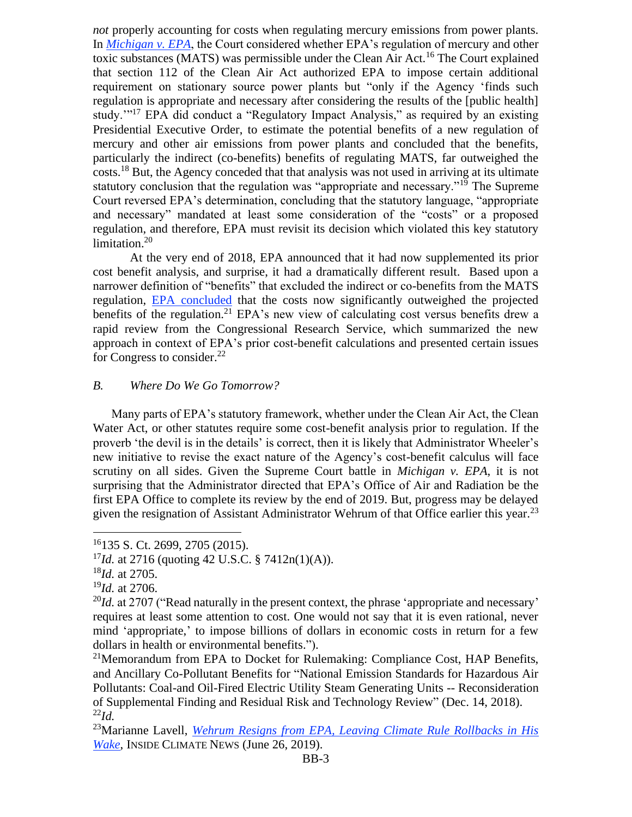*not* properly accounting for costs when regulating mercury emissions from power plants. In *[Michigan v. EPA](https://www.supremecourt.gov/opinions/14pdf/14-46_bqmc.pdf)*, the Court considered whether EPA's regulation of mercury and other toxic substances (MATS) was permissible under the Clean Air Act.<sup>16</sup> The Court explained that section 112 of the Clean Air Act authorized EPA to impose certain additional requirement on stationary source power plants but "only if the Agency 'finds such regulation is appropriate and necessary after considering the results of the [public health] study."<sup>17</sup> EPA did conduct a "Regulatory Impact Analysis," as required by an existing Presidential Executive Order, to estimate the potential benefits of a new regulation of mercury and other air emissions from power plants and concluded that the benefits, particularly the indirect (co-benefits) benefits of regulating MATS, far outweighed the costs.<sup>18</sup> But, the Agency conceded that that analysis was not used in arriving at its ultimate statutory conclusion that the regulation was "appropriate and necessary."<sup>19</sup> The Supreme Court reversed EPA's determination, concluding that the statutory language, "appropriate and necessary" mandated at least some consideration of the "costs" or a proposed regulation, and therefore, EPA must revisit its decision which violated this key statutory limitation.<sup>20</sup>

At the very end of 2018, EPA announced that it had now supplemented its prior cost benefit analysis, and surprise, it had a dramatically different result. Based upon a narrower definition of "benefits" that excluded the indirect or co-benefits from the MATS regulatio[n, EPA concluded](https://www.epa.gov/sites/production/files/2018-12/documents/mats-an-cost-benefit_memo12-2018.pdf) that the costs now significantly outweighed the projected benefits of the regulation.<sup>21</sup> EPA's new view of calculating cost versus benefits drew a rapid review from the Congressional Research Service, which summarized the new approach in context of EPA's prior cost-benefit calculations and presented certain issues for Congress to consider.<sup>22</sup>

#### *B. Where Do We Go Tomorrow?*

Many parts of EPA's statutory framework, whether under the Clean Air Act, the Clean Water Act, or other statutes require some cost-benefit analysis prior to regulation. If the proverb 'the devil is in the details' is correct, then it is likely that Administrator Wheeler's new initiative to revise the exact nature of the Agency's cost-benefit calculus will face scrutiny on all sides. Given the Supreme Court battle in *Michigan v. EPA*, it is not surprising that the Administrator directed that EPA's Office of Air and Radiation be the first EPA Office to complete its review by the end of 2019. But, progress may be delayed given the resignation of Assistant Administrator Wehrum of that Office earlier this year.<sup>23</sup>

<sup>16</sup>135 S. Ct. 2699, 2705 (2015).

<sup>&</sup>lt;sup>17</sup>*Id.* at 2716 (quoting 42 U.S.C. § 7412n(1)(A)).

<sup>18</sup>*Id.* at 2705.

<sup>19</sup>*Id.* at 2706.

 $^{20}$ *Id.* at 2707 ("Read naturally in the present context, the phrase 'appropriate and necessary' requires at least some attention to cost. One would not say that it is even rational, never mind 'appropriate,' to impose billions of dollars in economic costs in return for a few dollars in health or environmental benefits.").

<sup>&</sup>lt;sup>21</sup>Memorandum from EPA to Docket for Rulemaking: Compliance Cost, HAP Benefits, and Ancillary Co-Pollutant Benefits for "National Emission Standards for Hazardous Air Pollutants: Coal-and Oil-Fired Electric Utility Steam Generating Units -- Reconsideration of Supplemental Finding and Residual Risk and Technology Review" (Dec. 14, 2018).  $^{22}Id.$ 

<sup>23</sup>Marianne Lavell, *[Wehrum Resigns from EPA, Leaving Climate Rule Rollbacks in His](https://insideclimatenews.org/news/26062019/bill-wehrum-resigns-epa-fossil-fuel-industry-influence-climate-change-air-pollution-auto-standards-deregulation)  [Wake](https://insideclimatenews.org/news/26062019/bill-wehrum-resigns-epa-fossil-fuel-industry-influence-climate-change-air-pollution-auto-standards-deregulation)*, INSIDE CLIMATE NEWS (June 26, 2019).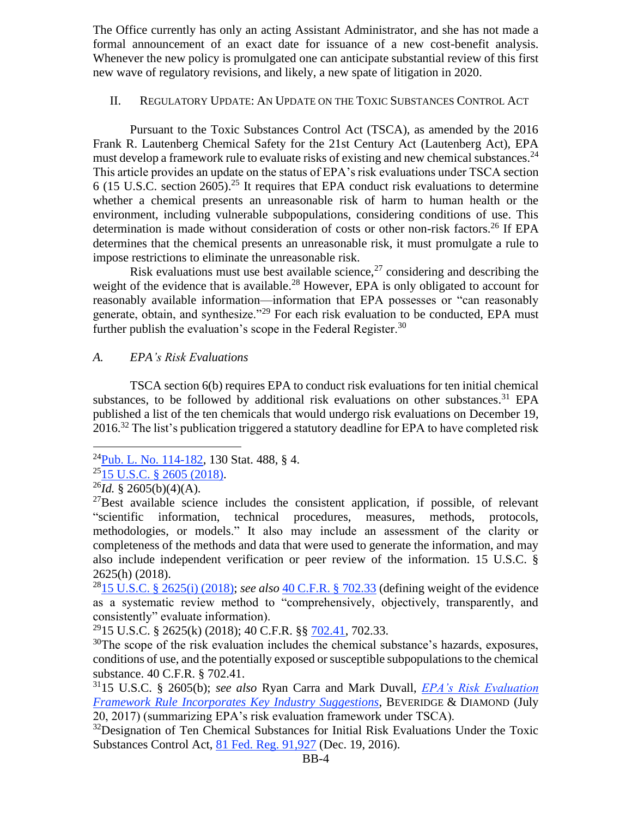The Office currently has only an acting Assistant Administrator, and she has not made a formal announcement of an exact date for issuance of a new cost-benefit analysis. Whenever the new policy is promulgated one can anticipate substantial review of this first new wave of regulatory revisions, and likely, a new spate of litigation in 2020.

#### II. REGULATORY UPDATE: AN UPDATE ON THE TOXIC SUBSTANCES CONTROL ACT

Pursuant to the Toxic Substances Control Act (TSCA), as amended by the 2016 [Frank R. Lautenberg Chemical Safety for the 21st Century Act](https://www.congress.gov/114/plaws/publ182/PLAW-114publ182.pdf) (Lautenberg Act), EPA must develop a framework rule to evaluate risks of existing and new chemical substances.<sup>24</sup> This article provides an update on the status of EPA's risk evaluations under TSCA section 6 (15 U.S.C. section 2605).<sup>25</sup> It requires that EPA conduct risk evaluations to determine whether a chemical presents an unreasonable risk of harm to human health or the environment, including vulnerable subpopulations, considering conditions of use. This determination is made without consideration of costs or other non-risk factors.<sup>26</sup> If EPA determines that the chemical presents an unreasonable risk, it must promulgate a rule to impose restrictions to eliminate the unreasonable risk.

Risk evaluations must use best available science,  $27$  considering and describing the weight of the evidence that is available.<sup>28</sup> However, EPA is only obligated to account for reasonably available information—information that EPA possesses or "can reasonably generate, obtain, and synthesize."<sup>29</sup> For each risk evaluation to be conducted, EPA must further publish the evaluation's scope in the Federal Register.<sup>30</sup>

# *A. EPA's Risk Evaluations*

TSCA section 6(b) requires EPA to conduct risk evaluations for ten initial chemical substances, to be followed by additional risk evaluations on other substances.<sup>31</sup> EPA [published](https://www.govinfo.gov/content/pkg/FR-2016-12-19/pdf/2016-30468.pdf) a list of the ten chemicals that would undergo risk evaluations on December 19, 2016.<sup>32</sup> The list's publication triggered a statutory deadline for EPA to have completed risk

<sup>24</sup>[Pub. L. No. 114-182,](https://www.congress.gov/114/plaws/publ182/PLAW-114publ182.htm) 130 Stat. 488, § 4.

 $^{25}$ [15 U.S.C. § 2605 \(2018\).](https://www.law.cornell.edu/uscode/text/15/2605)

 $^{26}Id.$  § 2605(b)(4)(A).

 $^{27}$ Best available science includes the consistent application, if possible, of relevant "scientific information, technical procedures, measures, methods, protocols, methodologies, or models." It also may include an assessment of the clarity or completeness of the methods and data that were used to generate the information, and may also include independent verification or peer review of the information. 15 U.S.C. § 2625(h) (2018).

<sup>28</sup>[15 U.S.C. § 2625\(i\) \(2018\);](https://www.law.cornell.edu/uscode/text/15/2625) *see also* [40 C.F.R. §](https://www.law.cornell.edu/cfr/text/40/702.33) 702.33 (defining weight of the evidence as a systematic review method to "comprehensively, objectively, transparently, and consistently" evaluate information).

<sup>&</sup>lt;sup>29</sup>15 U.S.C. § 2625(k) (2018); 40 C.F.R. §§ [702.41,](https://www.law.cornell.edu/cfr/text/40/702.41) 702.33.

 $30$ The scope of the risk evaluation includes the chemical substance's hazards, exposures, conditions of use, and the potentially exposed or susceptible subpopulations to the chemical substance. 40 C.F.R. § 702.41.

<sup>31</sup>15 U.S.C. § 2605(b); *see also* Ryan Carra and Mark Duvall, *[EPA's Risk Evaluation](https://www.bdlaw.com/chemical-regulation-resource-center/publications/epas-risk-evaluation-framework-rule-incorporates-key-industry-suggestions/)  [Framework Rule Incorporates Key Industry Suggestions](https://www.bdlaw.com/chemical-regulation-resource-center/publications/epas-risk-evaluation-framework-rule-incorporates-key-industry-suggestions/)*, BEVERIDGE & DIAMOND (July 20, 2017) (summarizing EPA's risk evaluation framework under TSCA).

<sup>&</sup>lt;sup>32</sup>Designation of Ten Chemical Substances for Initial Risk Evaluations Under the Toxic Substances Control Act, [81 Fed. Reg. 91,927](https://www.govinfo.gov/content/pkg/FR-2016-12-19/pdf/2016-30468.pdf) (Dec. 19, 2016).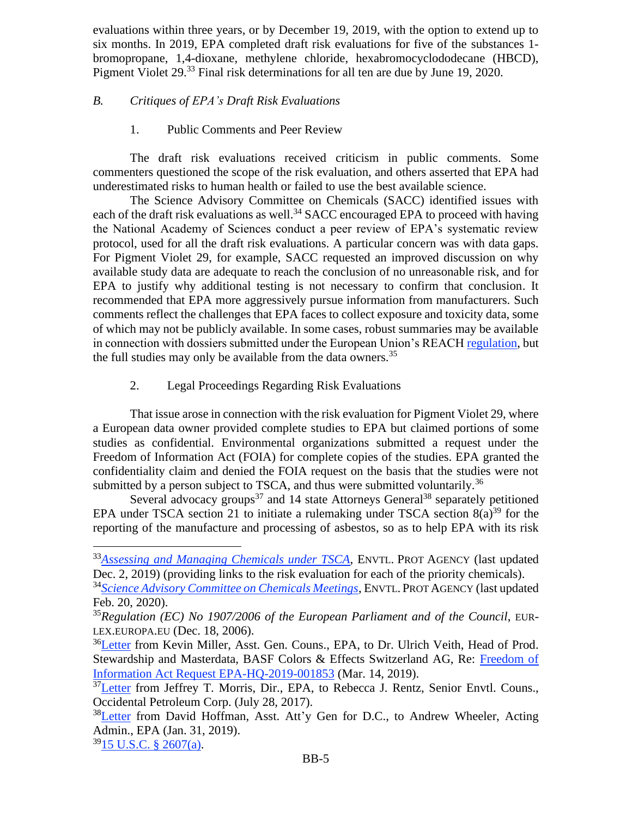evaluations within three years, or by December 19, 2019, with the option to extend up to six months. In 2019, EPA completed draft risk evaluations for five of the substances 1 bromopropane, 1,4-dioxane, methylene chloride, hexabromocyclododecane (HBCD), Pigment Violet 29.<sup>33</sup> Final risk determinations for all ten are due by June 19, 2020.

# *B. Critiques of EPA's Draft Risk Evaluations*

## 1. Public Comments and Peer Review

The draft risk evaluations received criticism in public comments. Some commenters questioned the scope of the risk evaluation, and others asserted that EPA had underestimated risks to human health or failed to use the best available science.

The Science Advisory Committee on Chemicals (SACC) identified issues with each of the draft risk evaluations as well.<sup>34</sup> SACC encouraged EPA to proceed with having the National Academy of Sciences conduct a peer review of EPA's systematic review protocol, used for all the draft risk evaluations. A particular concern was with data gaps. For Pigment Violet 29, for example, SACC requested an improved discussion on why available study data are adequate to reach the conclusion of no unreasonable risk, and for EPA to justify why additional testing is not necessary to confirm that conclusion. It recommended that EPA more aggressively pursue information from manufacturers. Such comments reflect the challenges that EPA faces to collect exposure and toxicity data, some of which may not be publicly available. In some cases, robust summaries may be available in connection with dossiers submitted under the European Union's REACH [regulation,](https://eur-lex.europa.eu/LexUriServ/LexUriServ.do?uri=CONSLEG:2006R1907:LATEST:EN:PDF) but the full studies may only be available from the data owners.<sup>35</sup>

# 2. Legal Proceedings Regarding Risk Evaluations

That issue arose in connection with the risk evaluation for Pigment Violet 29, where a European data owner provided complete studies to EPA but claimed portions of some studies as confidential. Environmental organizations submitted a request under the Freedom of Information Act (FOIA) for complete copies of the studies. EPA granted the confidentiality claim and denied the FOIA request on the basis that the studies were not submitted by a person subject to TSCA, and thus were submitted voluntarily.<sup>36</sup>

Several advocacy groups<sup>37</sup> and 14 state Attorneys General<sup>38</sup> separately petitioned EPA under TSCA section 21 to initiate a rulemaking under TSCA section  $8(a)^{39}$  for the reporting of the manufacture and processing of asbestos, so as to help EPA with its risk

 $3915$  U.S.C. § 2607(a).

<sup>&</sup>lt;sup>33</sup>[Assessing and Managing Chemicals under TSCA](https://www.epa.gov/assessing-and-managing-chemicals-under-tsca/risk-evaluations-existing-chemicals-under-tsca#ten), ENVTL. PROT AGENCY (last updated Dec. 2, 2019) (providing links to the risk evaluation for each of the priority chemicals).

<sup>34</sup>*[Science Advisory Committee on Chemicals Meetings](https://www.epa.gov/tsca-peer-review/science-advisory-committee-chemicals-meetings)*, ENVTL. PROT AGENCY (last updated Feb. 20, 2020).

<sup>35</sup>*Regulation (EC) No 1907/2006 of the European Parliament and of the Council*, EUR-LEX.EUROPA.EU (Dec. 18, 2006).

<sup>&</sup>lt;sup>36</sup>[Letter](https://foiaonline.gov/foiaonline/action/public/submissionDetails?trackingNumber=EPA-HQ-2019-001853&type=request) from Kevin Miller, Asst. Gen. Couns., EPA, to Dr. Ulrich Veith, Head of Prod. Stewardship and Masterdata, BASF Colors & Effects Switzerland AG, Re: [Freedom of](https://foiaonline.gov/foiaonline/action/public/submissionDetails?trackingNumber=EPA-HQ-2019-001853&type=request)  [Information Act Request EPA-HQ-2019-001853](https://foiaonline.gov/foiaonline/action/public/submissionDetails?trackingNumber=EPA-HQ-2019-001853&type=request) (Mar. 14, 2019).

 $37$ [Letter](https://www.epa.gov/sites/production/files/2018-10/documents/adao-asbestos-cdr-petition-all.pdf) from Jeffrey T. Morris, Dir., EPA, to Rebecca J. Rentz, Senior Envtl. Couns., Occidental Petroleum Corp. (July 28, 2017).

 $38$ [Letter](https://www.epa.gov/sites/production/files/2019-02/documents/tsca_section_21_rulemaking_petiton_for_asbestos_reporting_1_31_2019_2.pdf) from David Hoffman, Asst. Att'y Gen for D.C., to Andrew Wheeler, Acting Admin., EPA (Jan. 31, 2019).